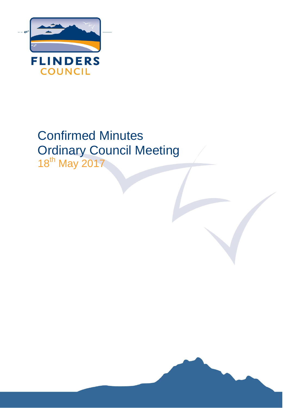

# Confirmed Minutes Ordinary Council Meeting

18th May 2017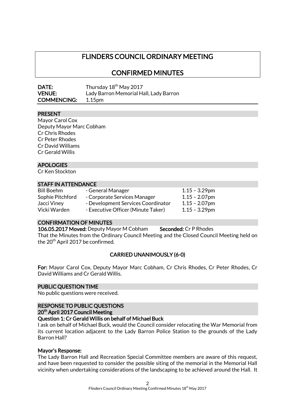## FLINDERS COUNCIL ORDINARY MEETING

CONFIRMED MINUTES

| DATE:              | Thursday 18 <sup>th</sup> May 2017     |
|--------------------|----------------------------------------|
| <b>VENUE:</b>      | Lady Barron Memorial Hall, Lady Barron |
| <b>COMMENCING:</b> | 1.15 <sub>pm</sub>                     |

## PRESENT

Mayor Carol Cox Deputy Mayor Marc Cobham Cr Chris Rhodes Cr Peter Rhodes Cr David Williams Cr Gerald Willis

## APOLOGIES

Cr Ken Stockton

#### STAFF IN ATTENDANCE

Bill Boehm - General Manager 1.15 - 3.29pm Sophie Pitchford - Corporate Services Manager 1.15 – 2.07pm Jacci Viney - Development Services Coordinator 1.15 - 2.07pm Vicki Warden - Executive Officer (Minute Taker) 1.15 - 3.29pm

## CONFIRMATION OF MINUTES

106.05.2017 Moved: Deputy Mayor M Cobham Seconded: Cr P Rhodes That the Minutes from the Ordinary Council Meeting and the Closed Council Meeting held on the 20<sup>th</sup> April 2017 be confirmed.

## CARRIED UNANIMOUSLY (6-0)

For: Mayor Carol Cox, Deputy Mayor Marc Cobham, Cr Chris Rhodes, Cr Peter Rhodes, Cr David Williams and Cr Gerald Willis.

#### PUBLIC QUESTION TIME

No public questions were received.

## RESPONSE TO PUBLIC QUESTIONS

#### 20<sup>th</sup> April 2017 Council Meeting

#### Question 1: Cr Gerald Willis on behalf of Michael Buck

I ask on behalf of Michael Buck, would the Council consider relocating the War Memorial from its current location adjacent to the Lady Barron Police Station to the grounds of the Lady Barron Hall?

#### Mayor's Response:

The Lady Barron Hall and Recreation Special Committee members are aware of this request, and have been requested to consider the possible siting of the memorial in the Memorial Hall vicinity when undertaking considerations of the landscaping to be achieved around the Hall. It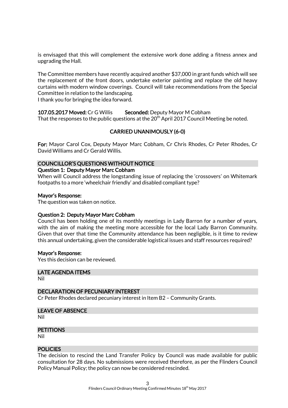is envisaged that this will complement the extensive work done adding a fitness annex and upgrading the Hall.

The Committee members have recently acquired another \$37,000 in grant funds which will see the replacement of the front doors, undertake exterior painting and replace the old heavy curtains with modern window coverings. Council will take recommendations from the Special Committee in relation to the landscaping.

I thank you for bringing the idea forward.

107.05.2017 Moved: Cr G Willis Seconded: Deputy Mayor M Cobham That the responses to the public questions at the  $20<sup>th</sup>$  April 2017 Council Meeting be noted.

## CARRIED UNANIMOUSLY (6-0)

For: Mayor Carol Cox, Deputy Mayor Marc Cobham, Cr Chris Rhodes, Cr Peter Rhodes, Cr David Williams and Cr Gerald Willis.

#### COUNCILLOR'S QUESTIONS WITHOUT NOTICE

#### Question 1: Deputy Mayor Marc Cobham

When will Council address the longstanding issue of replacing the 'crossovers' on Whitemark footpaths to a more 'wheelchair friendly' and disabled compliant type?

#### Mayor's Response:

The question was taken on notice.

#### Question 2: Deputy Mayor Marc Cobham

Council has been holding one of its monthly meetings in Lady Barron for a number of years, with the aim of making the meeting more accessible for the local Lady Barron Community. Given that over that time the Community attendance has been negligible, is it time to review this annual undertaking, given the considerable logistical issues and staff resources required?

#### Mayor's Response:

Yes this decision can be reviewed.

#### LATE AGENDA ITEMS

Nil

#### DECLARATION OF PECUNIARY INTEREST

Cr Peter Rhodes declared pecuniary interest in Item B2 – Community Grants.

#### LEAVE OF ABSENCE

Nil

#### **PETITIONS**

Nil

#### **POLICIES**

The decision to rescind the Land Transfer Policy by Council was made available for public consultation for 28 days. No submissions were received therefore, as per the Flinders Council Policy Manual Policy; the policy can now be considered rescinded.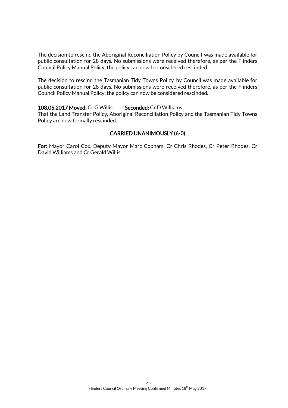The decision to rescind the Aboriginal Reconciliation Policy by Council was made available for public consultation for 28 days. No submissions were received therefore, as per the Flinders Council Policy Manual Policy; the policy can now be considered rescinded.

The decision to rescind the Tasmanian Tidy Towns Policy by Council was made available for public consultation for 28 days. No submissions were received therefore, as per the Flinders Council Policy Manual Policy; the policy can now be considered rescinded.

#### 108.05.2017 Moved: Cr G Willis Seconded: Cr D Williams

That the Land Transfer Policy, Aboriginal Reconciliation Policy and the Tasmanian Tidy Towns Policy are now formally rescinded.

## CARRIED UNANIMOUSLY (6-0)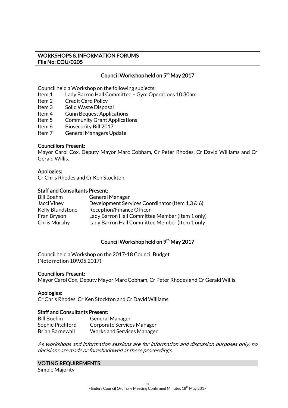## WORKSHOPS & INFORMATION FORUMS File No: COU/0205

## Council Workshop held on 5<sup>th</sup> May 2017

Council held a Workshop on the following subjects:

- Item 1 Lady Barron Hall Committee Gym Operations 10.30am
- Item 2 Credit Card Policy
- Item 3 Solid Waste Disposal
- Item 4 Gunn Bequest Applications
- Item 5 Community Grant Applications
- Item 6 Biosecurity Bill 2017<br>Item 7 General Managers Ur
- General Managers Update

#### Councillors Present:

Mayor Carol Cox, Deputy Mayor Marc Cobham, Cr Peter Rhodes, Cr David Williams and Cr Gerald Willis.

#### Apologies:

Cr Chris Rhodes and Cr Ken Stockton.

#### Staff and Consultants Present:

| <b>Bill Boehm</b> | <b>General Manager</b>                          |
|-------------------|-------------------------------------------------|
| Jacci Viney       | Development Services Coordinator (Item 1,3 & 6) |
| Kelly Blundstone  | Reception/Finance Officer                       |
| Fran Bryson       | Lady Barron Hall Committee Member (Item 1 only) |
| Chris Murphy      | Lady Barron Hall Committee Member (Item 1 only  |

#### Council Workshop held on 9<sup>th</sup> May 2017

Council held a Workshop on the 2017-18 Council Budget (Note motion 109.05.2017)

#### Councillors Present:

Mayor Carol Cox, Deputy Mayor Marc Cobham, Cr Peter Rhodes and Cr Gerald Willis.

#### Apologies:

Cr Chris Rhodes. Cr Ken Stockton and Cr David Williams.

#### Staff and Consultants Present:

| <b>Bill Boehm</b> | <b>General Manager</b>            |
|-------------------|-----------------------------------|
| Sophie Pitchford  | Corporate Services Manager        |
| Brian Barnewall   | <b>Works and Services Manager</b> |

As workshops and information sessions are for information and discussion purposes only, no decisions are made or foreshadowed at these proceedings.

## VOTING REQUIREMENTS:

Simple Majority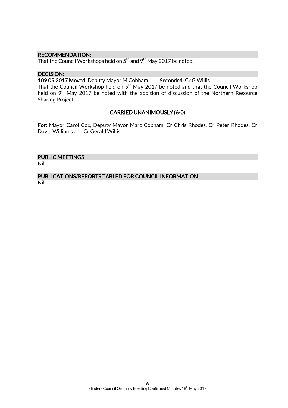#### RECOMMENDATION:

That the Council Workshops held on  $5^{\rm th}$  and  $9^{\rm th}$  May 2017 be noted.

#### DECISION:

109.05.2017 Moved: Deputy Mayor M Cobham Seconded: Cr G Willis

That the Council Workshop held on 5<sup>th</sup> May 2017 be noted and that the Council Workshop held on 9<sup>th</sup> May 2017 be noted with the addition of discussion of the Northern Resource Sharing Project.

## CARRIED UNANIMOUSLY (6-0)

For: Mayor Carol Cox, Deputy Mayor Marc Cobham, Cr Chris Rhodes, Cr Peter Rhodes, Cr David Williams and Cr Gerald Willis.

## PUBLIC MEETINGS

Nil

## PUBLICATIONS/REPORTS TABLED FOR COUNCIL INFORMATION

Nil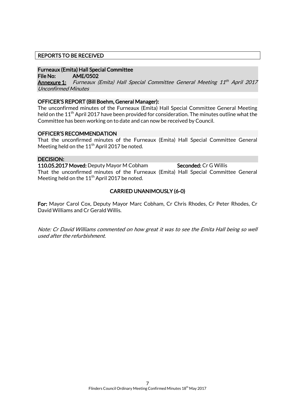## REPORTS TO BE RECEIVED

## Furneaux (Emita) Hall Special Committee

File No: AME/0502

**<u>Annexure 1:</u>** Furneaux (Emita) Hall Special Committee General Meeting 11<sup>th</sup> April 2017 Unconfirmed Minutes

#### OFFICER'S REPORT (Bill Boehm, General Manager):

The unconfirmed minutes of the Furneaux (Emita) Hall Special Committee General Meeting held on the  $11<sup>th</sup>$  April 2017 have been provided for consideration. The minutes outline what the Committee has been working on to date and can now be received by Council.

#### OFFICER'S RECOMMENDATION

That the unconfirmed minutes of the Furneaux (Emita) Hall Special Committee General Meeting held on the  $11^{th}$  April 2017 be noted.

#### DECISION:

110.05.2017 Moved: Deputy Mayor M Cobham Seconded: Cr G Willis That the unconfirmed minutes of the Furneaux (Emita) Hall Special Committee General Meeting held on the  $11<sup>th</sup>$  April 2017 be noted.

## CARRIED UNANIMOUSLY (6-0)

For: Mayor Carol Cox, Deputy Mayor Marc Cobham, Cr Chris Rhodes, Cr Peter Rhodes, Cr David Williams and Cr Gerald Willis.

Note: Cr David Williams commented on how great it was to see the Emita Hall being so well used after the refurbishment.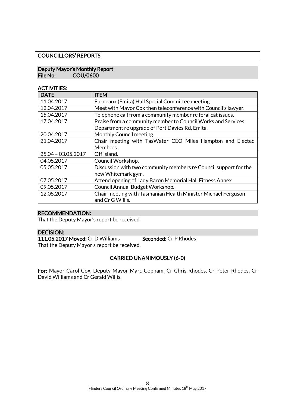#### COUNCILLORS' REPORTS

#### Deputy Mayor's Monthly Report File No: COU/0600

## ACTIVITIES:

| <b>DATE</b>        | <b>ITEM</b>                                                      |  |
|--------------------|------------------------------------------------------------------|--|
| 11.04.2017         | Furneaux (Emita) Hall Special Committee meeting.                 |  |
| 12.04.2017         | Meet with Mayor Cox then teleconference with Council's lawyer.   |  |
| 15.04.2017         | Telephone call from a community member re feral cat issues.      |  |
| 17.04.2017         | Praise from a community member to Council Works and Services     |  |
|                    | Department re upgrade of Port Davies Rd, Emita.                  |  |
| 20.04.2017         | Monthly Council meeting.                                         |  |
| 21.04.2017         | Chair meeting with TasWater CEO Miles Hampton and Elected        |  |
|                    | Members.                                                         |  |
| 25.04 - 03.05.2017 | Off island.                                                      |  |
| 04.05.2017         | Council Workshop.                                                |  |
| 05.05.2017         | Discussion with two community members re Council support for the |  |
|                    | new Whitemark gym.                                               |  |
| 07.05.2017         | Attend opening of Lady Baron Memorial Hall Fitness Annex.        |  |
| 09.05.2017         | Council Annual Budget Workshop.                                  |  |
| 12.05.2017         | Chair meeting with Tasmanian Health Minister Michael Ferguson    |  |
|                    | and Cr G Willis.                                                 |  |

## RECOMMENDATION:

That the Deputy Mayor's report be received.

## DECISION:

111.05.2017 Moved: Cr D Williams Seconded: Cr P Rhodes That the Deputy Mayor's report be received.

## CARRIED UNANIMOUSLY (6-0)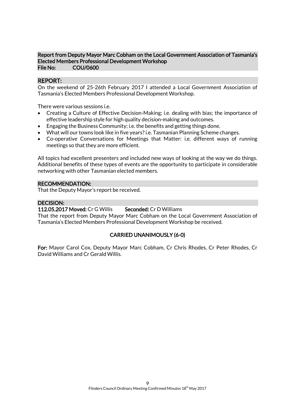#### Report from Deputy Mayor Marc Cobham on the Local Government Association of Tasmania's Elected Members Professional Development Workshop File No: COU/0600

## REPORT:

On the weekend of 25-26th February 2017 I attended a Local Government Association of Tasmania's Elected Members Professional Development Workshop.

There were various sessions i.e.

- Creating a Culture of Effective Decision-Making; i.e. dealing with bias; the importance of effective leadership style for high quality decision-making and outcomes.
- Engaging the Business Community; i.e. the benefits and getting things done.
- What will our towns look like in five years? i.e. Tasmanian Planning Scheme changes.
- Co-operative Conversations for Meetings that Matter: i.e. different ways of running meetings so that they are more efficient.

All topics had excellent presenters and included new ways of looking at the way we do things. Additional benefits of these types of events are the opportunity to participate in considerable networking with other Tasmanian elected members.

#### RECOMMENDATION:

That the Deputy Mayor's report be received.

#### DECISION:

## 112.05.2017 Moved: Cr G Willis Seconded: Cr D Williams

That the report from Deputy Mayor Marc Cobham on the Local Government Association of Tasmania's Elected Members Professional Development Workshop be received.

#### CARRIED UNANIMOUSLY (6-0)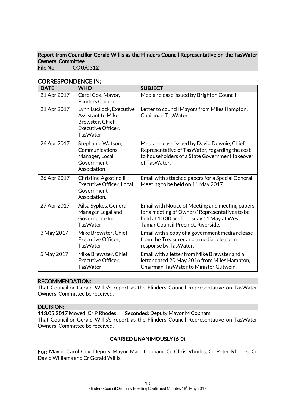#### Report from Councillor Gerald Willis as the Flinders Council Representative on the TasWater Owners' Committee<br>File No: COU COU/0312

| <b>DATE</b> | <b>WHO</b>                                                                                                      | <b>SUBJECT</b>                                                                                                                                                                      |
|-------------|-----------------------------------------------------------------------------------------------------------------|-------------------------------------------------------------------------------------------------------------------------------------------------------------------------------------|
| 21 Apr 2017 | Carol Cox, Mayor,<br><b>Flinders Council</b>                                                                    | Media release issued by Brighton Council                                                                                                                                            |
| 21 Apr 2017 | Lynn Luckock, Executive<br><b>Assistant to Mike</b><br>Brewster, Chief<br>Executive Officer,<br><b>TasWater</b> | Letter to council Mayors from Miles Hampton,<br>Chairman TasWater                                                                                                                   |
| 26 Apr 2017 | Stephanie Watson,<br>Communications<br>Manager, Local<br>Government<br>Association                              | Media release issued by David Downie, Chief<br>Representative of TasWater, regarding the cost<br>to householders of a State Government takeover<br>of TasWater.                     |
| 26 Apr 2017 | Christine Agostinelli,<br><b>Executive Officer, Local</b><br>Government<br>Association.                         | Email with attached papers for a Special General<br>Meeting to be held on 11 May 2017                                                                                               |
| 27 Apr 2017 | Ailsa Sypkes, General<br>Manager Legal and<br>Governance for<br><b>TasWater</b>                                 | Email with Notice of Meeting and meeting papers<br>for a meeting of Owners' Representatives to be<br>held at 10:30 am Thursday 11 May at West<br>Tamar Council Precinct, Riverside. |
| 3 May 2017  | Mike Brewster, Chief<br><b>Executive Officer,</b><br><b>TasWater</b>                                            | Email with a copy of a government media release<br>from the Treasurer and a media release in<br>response by TasWater.                                                               |
| 5 May 2017  | Mike Brewster, Chief<br>Executive Officer,<br><b>TasWater</b>                                                   | Email with a letter from Mike Brewster and a<br>letter dated 20 May 2016 from Miles Hampton,<br>Chairman TasWater to Minister Gutwein.                                              |

## CORRESPONDENCE IN:

#### RECOMMENDATION:

That Councillor Gerald Willis's report as the Flinders Council Representative on TasWater Owners' Committee be received.

#### DECISION:

113.05.2017 Moved: Cr P Rhodes Seconded: Deputy Mayor M Cobham

That Councillor Gerald Willis's report as the Flinders Council Representative on TasWater Owners' Committee be received.

## CARRIED UNANIMOUSLY (6-0)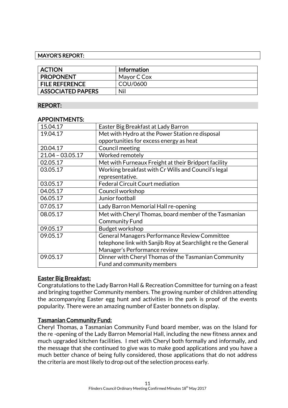## MAYOR'S REPORT:

| <b>ACTION</b>            | <b>Information</b> |  |
|--------------------------|--------------------|--|
| <b>PROPONENT</b>         | Mayor C Cox        |  |
| <b>FILE REFERENCE</b>    | COU/0600           |  |
| <b>ASSOCIATED PAPERS</b> | Nil                |  |

## REPORT:

## APPOINTMENTS:

| 15.04.17           | Easter Big Breakfast at Lady Barron                          |  |  |
|--------------------|--------------------------------------------------------------|--|--|
| 19.04.17           | Met with Hydro at the Power Station re disposal              |  |  |
|                    | opportunities for excess energy as heat                      |  |  |
| 20.04.17           | Council meeting                                              |  |  |
| $21.04 - 03.05.17$ | Worked remotely                                              |  |  |
| 02.05.17           | Met with Furneaux Freight at their Bridport facility         |  |  |
| 03.05.17           | Working breakfast with Cr Wills and Council's legal          |  |  |
|                    | representative.                                              |  |  |
| 03.05.17           | <b>Federal Circuit Court mediation</b>                       |  |  |
| 04.05.17           | Council workshop                                             |  |  |
| 06.05.17           | Junior football                                              |  |  |
| 07.05.17           | Lady Barron Memorial Hall re-opening                         |  |  |
| 08.05.17           | Met with Cheryl Thomas, board member of the Tasmanian        |  |  |
|                    | <b>Community Fund</b>                                        |  |  |
| 09.05.17           | Budget workshop                                              |  |  |
| 09.05.17           | General Managers Performance Review Committee                |  |  |
|                    | telephone link with Sanjib Roy at Searchlight re the General |  |  |
|                    | Manager's Performance review                                 |  |  |
| 09.05.17           | Dinner with Cheryl Thomas of the Tasmanian Community         |  |  |
|                    | Fund and community members                                   |  |  |

## Easter Big Breakfast:

Congratulations to the Lady Barron Hall & Recreation Committee for turning on a feast and bringing together Community members. The growing number of children attending the accompanying Easter egg hunt and activities in the park is proof of the events popularity. There were an amazing number of Easter bonnets on display.

## Tasmanian Community Fund:

Cheryl Thomas, a Tasmanian Community Fund board member, was on the Island for the re -opening of the Lady Barron Memorial Hall, including the new fitness annex and much upgraded kitchen facilities. I met with Cheryl both formally and informally, and the message that she continued to give was to make good applications and you have a much better chance of being fully considered, those applications that do not address the criteria are most likely to drop out of the selection process early.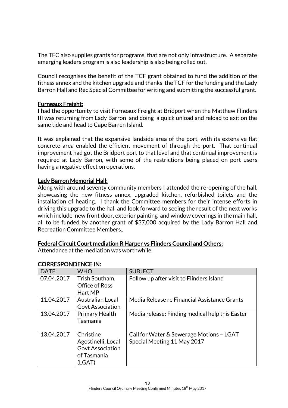The TFC also supplies grants for programs, that are not only infrastructure. A separate emerging leaders program is also leadership is also being rolled out.

Council recognises the benefit of the TCF grant obtained to fund the addition of the fitness annex and the kitchen upgrade and thanks the TCF for the funding and the Lady Barron Hall and Rec Special Committee for writing and submitting the successful grant.

## Furneaux Freight:

I had the opportunity to visit Furneaux Freight at Bridport when the Matthew Flinders III was returning from Lady Barron and doing a quick unload and reload to exit on the same tide and head to Cape Barren Island.

It was explained that the expansive landside area of the port, with its extensive flat concrete area enabled the efficient movement of through the port. That continual improvement had got the Bridport port to that level and that continual improvement is required at Lady Barron, with some of the restrictions being placed on port users having a negative effect on operations.

## Lady Barron Memorial Hall:

Along with around seventy community members I attended the re-opening of the hall, showcasing the new fitness annex, upgraded kitchen, refurbished toilets and the installation of heating. I thank the Committee members for their intense efforts in driving this upgrade to the hall and look forward to seeing the result of the next works which include new front door, exterior painting and window coverings in the main hall, all to be funded by another grant of \$37,000 acquired by the Lady Barron Hall and Recreation Committee Members.,

## Federal Circuit Court mediation R Harper vs Flinders Council and Others:

Attendance at the mediation was worthwhile.

| <b>DATE</b> | <b>WHO</b>                                                                          | <b>SUBJECT</b>                                                          |
|-------------|-------------------------------------------------------------------------------------|-------------------------------------------------------------------------|
| 07.04.2017  | Trish Southam,<br>Office of Ross<br>Hart MP                                         | Follow up after visit to Flinders Island                                |
| 11.04.2017  | <b>Australian Local</b><br><b>Govt Association</b>                                  | Media Release re Financial Assistance Grants                            |
| 13.04.2017  | <b>Primary Health</b><br>Tasmania                                                   | Media release: Finding medical help this Easter                         |
| 13.04.2017  | Christine<br>Agostinelli, Local<br><b>Govt Association</b><br>of Tasmania<br>(LGAT) | Call for Water & Sewerage Motions - LGAT<br>Special Meeting 11 May 2017 |

## CORRESPONDENCE IN: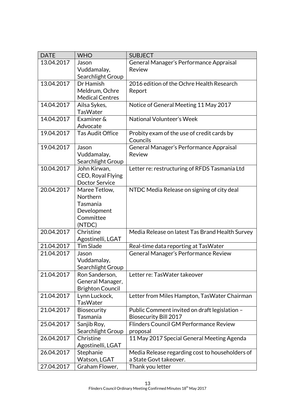| <b>DATE</b> | <b>WHO</b>               | <b>SUBJECT</b>                                         |
|-------------|--------------------------|--------------------------------------------------------|
| 13.04.2017  | Jason                    | General Manager's Performance Appraisal                |
|             | Vuddamalay,              | Review                                                 |
|             | Searchlight Group        |                                                        |
| 13.04.2017  | Dr Hamish                | 2016 edition of the Ochre Health Research              |
|             | Meldrum, Ochre           | Report                                                 |
|             | <b>Medical Centres</b>   |                                                        |
| 14.04.2017  | Ailsa Sykes,             | Notice of General Meeting 11 May 2017                  |
|             | <b>TasWater</b>          |                                                        |
| 14.04.2017  | Examiner &               | National Volunteer's Week                              |
|             | Advocate                 |                                                        |
| 19.04.2017  | <b>Tas Audit Office</b>  | Probity exam of the use of credit cards by<br>Councils |
| 19.04.2017  | Jason                    | General Manager's Performance Appraisal                |
|             | Vuddamalay,              | Review                                                 |
|             | Searchlight Group        |                                                        |
| 10.04.2017  | John Kirwan,             | Letter re: restructuring of RFDS Tasmania Ltd          |
|             | CEO, Royal Flying        |                                                        |
|             | <b>Doctor Service</b>    |                                                        |
| 20.04.2017  | Maree Tetlow,            | NTDC Media Release on signing of city deal             |
|             | Northern                 |                                                        |
|             | Tasmania                 |                                                        |
|             | Development<br>Committee |                                                        |
|             | (NTDC)                   |                                                        |
| 20.04.2017  | Christine                | Media Release on latest Tas Brand Health Survey        |
|             | Agostinelli, LGAT        |                                                        |
| 21.04.2017  | <b>Tim Slade</b>         | Real-time data reporting at TasWater                   |
| 21.04.2017  | Jason                    | General Manager's Performance Review                   |
|             | Vuddamalay,              |                                                        |
|             | Searchlight Group        |                                                        |
| 21.04.2017  | Ron Sanderson,           | Letter re: TasWater takeover                           |
|             | General Manager,         |                                                        |
|             | <b>Brighton Council</b>  |                                                        |
| 21.04.2017  | Lynn Luckock,            | Letter from Miles Hampton, TasWater Chairman           |
|             | <b>TasWater</b>          |                                                        |
| 21.04.2017  | Biosecurity              | Public Comment invited on draft legislation -          |
|             | Tasmania                 | <b>Biosecurity Bill 2017</b>                           |
| 25.04.2017  | Sanjib Roy,              | Flinders Council GM Performance Review                 |
|             | Searchlight Group        | proposal                                               |
| 26.04.2017  | Christine                | 11 May 2017 Special General Meeting Agenda             |
|             | Agostinelli, LGAT        |                                                        |
| 26.04.2017  | Stephanie                | Media Release regarding cost to householders of        |
|             | Watson, LGAT             | a State Govt takeover.                                 |
| 27.04.2017  | Graham Flower,           | Thank you letter                                       |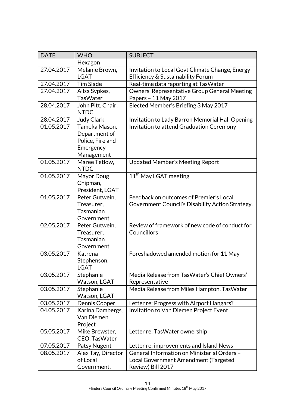| <b>DATE</b> | <b>WHO</b>                       | <b>SUBJECT</b>                                   |
|-------------|----------------------------------|--------------------------------------------------|
|             | Hexagon                          |                                                  |
| 27.04.2017  | Melanie Brown,                   | Invitation to Local Govt Climate Change, Energy  |
|             | <b>LGAT</b>                      | Efficiency & Sustainability Forum                |
| 27.04.2017  | <b>Tim Slade</b>                 | Real-time data reporting at TasWater             |
| 27.04.2017  | Ailsa Sypkes,                    | Owners' Representative Group General Meeting     |
|             | <b>TasWater</b>                  | Papers - 11 May 2017                             |
| 28.04.2017  | John Pitt, Chair,<br><b>NTDC</b> | Elected Member's Briefing 3 May 2017             |
| 28.04.2017  | <b>Judy Clark</b>                | Invitation to Lady Barron Memorial Hall Opening  |
| 01.05.2017  | Tameka Mason,                    | Invitation to attend Graduation Ceremony         |
|             | Department of                    |                                                  |
|             | Police, Fire and                 |                                                  |
|             | Emergency                        |                                                  |
|             | Management                       |                                                  |
| 01.05.2017  | Maree Tetlow,                    | <b>Updated Member's Meeting Report</b>           |
|             | <b>NTDC</b>                      |                                                  |
| 01.05.2017  | Mayor Doug                       | 11 <sup>th</sup> May LGAT meeting                |
|             | Chipman,                         |                                                  |
|             | President, LGAT                  |                                                  |
| 01.05.2017  | Peter Gutwein,                   | Feedback on outcomes of Premier's Local          |
|             | Treasurer,<br>Tasmanian          | Government Council's Disability Action Strategy. |
|             | Government                       |                                                  |
| 02.05.2017  | Peter Gutwein,                   | Review of framework of new code of conduct for   |
|             | Treasurer,                       | Councillors                                      |
|             | Tasmanian                        |                                                  |
|             | Government                       |                                                  |
| 03.05.2017  | Katrena                          | Foreshadowed amended motion for 11 May           |
|             | Stephenson,                      |                                                  |
|             | LGAT                             |                                                  |
| 03.05.2017  | Stephanie                        | Media Release from TasWater's Chief Owners'      |
|             | Watson, LGAT                     | Representative                                   |
| 03.05.2017  | Stephanie                        | Media Release from Miles Hampton, TasWater       |
|             | Watson, LGAT                     |                                                  |
| 03.05.2017  | Dennis Cooper                    | Letter re: Progress with Airport Hangars?        |
| 04.05.2017  | Karina Dambergs,                 | Invitation to Van Diemen Project Event           |
|             | Van Diemen                       |                                                  |
|             | Project                          |                                                  |
| 05.05.2017  | Mike Brewster,                   | Letter re: TasWater ownership                    |
|             | CEO, TasWater                    |                                                  |
| 07.05.2017  | Patsy Nugent                     | Letter re: improvements and Island News          |
| 08.05.2017  | Alex Tay, Director               | General Information on Ministerial Orders -      |
|             | of Local                         | Local Government Amendment (Targeted             |
|             | Government,                      | Review) Bill 2017                                |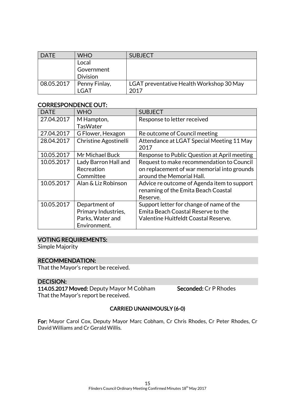| <b>DATE</b> | <b>WHO</b>      | <b>SUBJECT</b>                           |
|-------------|-----------------|------------------------------------------|
|             | Local           |                                          |
|             | Government      |                                          |
|             | <b>Division</b> |                                          |
| 08.05.2017  | Penny Finlay,   | LGAT preventative Health Workshop 30 May |
|             | LGAT            | 2017                                     |

## CORRESPONDENCE OUT:

| <b>DATE</b> | <b>WHO</b>                   | <b>SUBJECT</b>                                    |
|-------------|------------------------------|---------------------------------------------------|
| 27.04.2017  | M Hampton,                   | Response to letter received                       |
|             | <b>TasWater</b>              |                                                   |
| 27.04.2017  | G Flower, Hexagon            | Re outcome of Council meeting                     |
| 28.04.2017  | <b>Christine Agostinelli</b> | Attendance at LGAT Special Meeting 11 May<br>2017 |
| 10.05.2017  | Mr Michael Buck              | Response to Public Question at April meeting      |
| 10.05.2017  | Lady Barron Hall and         | Request to make recommendation to Council         |
|             | Recreation                   | on replacement of war memorial into grounds       |
|             | Committee                    | around the Memorial Hall.                         |
| 10.05.2017  | Alan & Liz Robinson          | Advice re outcome of Agenda item to support       |
|             |                              | renaming of the Emita Beach Coastal               |
|             |                              | Reserve.                                          |
| 10.05.2017  | Department of                | Support letter for change of name of the          |
|             | Primary Industries,          | Emita Beach Coastal Reserve to the                |
|             | Parks, Water and             | Valentine Huitfeldt Coastal Reserve.              |
|             | Environment.                 |                                                   |

## VOTING REQUIREMENTS:

Simple Majority

## RECOMMENDATION:

That the Mayor's report be received.

## DECISION:

114.05.2017 Moved: Deputy Mayor M Cobham Seconded: Cr P Rhodes That the Mayor's report be received.

## CARRIED UNANIMOUSLY (6-0)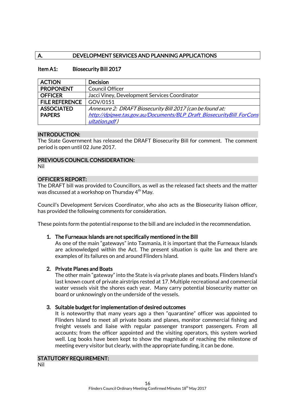## A. DEVELOPMENT SERVICES AND PLANNING APPLICATIONS

## Item A1: Biosecurity Bill 2017

| <b>ACTION</b>         | <b>Decision</b>                                                      |
|-----------------------|----------------------------------------------------------------------|
| <b>PROPONENT</b>      | <b>Council Officer</b>                                               |
| <b>OFFICER</b>        | Jacci Viney, Development Services Coordinator                        |
| <b>FILE REFERENCE</b> | GOV/0151                                                             |
| <b>ASSOCIATED</b>     | Annexure 2: DRAFT Biosecurity Bill 2017 (can be found at:            |
| <b>PAPERS</b>         | http://dpipwe.tas.gov.au/Documents/BLP Draft BiosecurityBill ForCons |
|                       | ultation.pdf)                                                        |

## INTRODUCTION:

The State Government has released the DRAFT Biosecurity Bill for comment. The comment period is open until 02 June 2017.

## PREVIOUS COUNCIL CONSIDERATION:

Nil

## OFFICER'S REPORT:

The DRAFT bill was provided to Councillors, as well as the released fact sheets and the matter was discussed at a workshop on Thursday 4<sup>th</sup> May.

Council's Development Services Coordinator, who also acts as the Biosecurity liaison officer, has provided the following comments for consideration.

These points form the potential response to the bill and are included in the recommendation.

#### 1. The Furneaux Islands are not specifically mentioned in the Bill

As one of the main "gateways" into Tasmania, it is important that the Furneaux Islands are acknowledged within the Act. The present situation is quite lax and there are examples of its failures on and around Flinders Island.

#### 2. Private Planes and Boats

The other main "gateway" into the State is via private planes and boats. Flinders Island's last known count of private airstrips rested at 17. Multiple recreational and commercial water vessels visit the shores each year. Many carry potential biosecurity matter on board or unknowingly on the underside of the vessels.

#### 3. Suitable budget for implementation of desired outcomes

It is noteworthy that many years ago a then "quarantine" officer was appointed to Flinders Island to meet all private boats and planes, monitor commercial fishing and freight vessels and liaise with regular passenger transport passengers. From all accounts; from the officer appointed and the visiting operators, this system worked well. Log books have been kept to show the magnitude of reaching the milestone of meeting every visitor but clearly, with the appropriate funding, it can be done.

#### STATUTORY REQUIREMENT:

Nil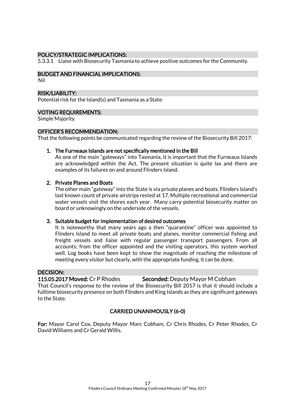#### POLICY/STRATEGIC IMPLICATIONS:

5.3.3.1 Liaise with Biosecurity Tasmania to achieve positive outcomes for the Community.

## BUDGET AND FINANCIAL IMPLICATIONS:

Nil

#### RISK/LIABILITY:

Potential risk for the Island(s) and Tasmania as a State.

#### VOTING REQUIREMENTS:

Simple Majority

#### OFFICER'S RECOMMENDATION:

That the following points be communicated regarding the review of the Biosecurity Bill 2017:

#### 1. The Furneaux Islands are not specifically mentioned in the Bill

As one of the main "gateways" into Tasmania, it is important that the Furneaux Islands are acknowledged within the Act. The present situation is quite lax and there are examples of its failures on and around Flinders Island.

#### 2. Private Planes and Boats

The other main "gateway" into the State is via private planes and boats. Flinders Island's last known count of private airstrips rested at 17. Multiple recreational and commercial water vessels visit the shores each year. Many carry potential biosecurity matter on board or unknowingly on the underside of the vessels.

#### 3. Suitable budget for implementation of desired outcomes

It is noteworthy that many years ago a then "quarantine" officer was appointed to Flinders Island to meet all private boats and planes, monitor commercial fishing and freight vessels and liaise with regular passenger transport passengers. From all accounts; from the officer appointed and the visiting operators, this system worked well. Log books have been kept to show the magnitude of reaching the milestone of meeting every visitor but clearly, with the appropriate funding, it can be done.

#### DECISION:

115.05.2017 Moved: Cr P Rhodes Seconded: Deputy Mayor M Cobham

That Council's response to the review of the Biosecurity Bill 2017 is that it should include a fulltime biosecurity presence on both Flinders and King Islands as they are significant gateways to the State.

#### CARRIED UNANIMOUSLY (6-0)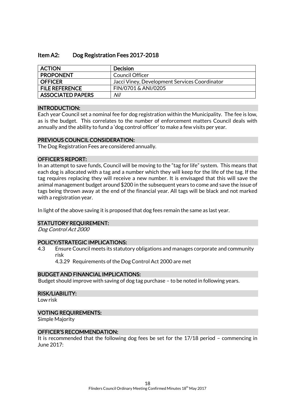## Item A2: Dog Registration Fees 2017-2018

| <b>ACTION</b>            | Decision                                      |
|--------------------------|-----------------------------------------------|
| <b>PROPONENT</b>         | Council Officer                               |
| <b>OFFICER</b>           | Jacci Viney, Development Services Coordinator |
| <b>FILE REFERENCE</b>    | FIN/0701 & ANI/0205                           |
| <b>ASSOCIATED PAPERS</b> | Nil                                           |

#### INTRODUCTION:

Each year Council set a nominal fee for dog registration within the Municipality. The fee is low, as is the budget. This correlates to the number of enforcement matters Council deals with annually and the ability to fund a 'dog control officer' to make a few visits per year.

#### PREVIOUS COUNCIL CONSIDERATION:

The Dog Registration Fees are considered annually.

#### OFFICER'S REPORT:

In an attempt to save funds, Council will be moving to the "tag for life" system. This means that each dog is allocated with a tag and a number which they will keep for the life of the tag. If the tag requires replacing they will receive a new number. It is envisaged that this will save the animal management budget around \$200 in the subsequent years to come and save the issue of tags being thrown away at the end of the financial year. All tags will be black and not marked with a registration year.

In light of the above saving it is proposed that dog fees remain the same as last year.

#### STATUTORY REQUIREMENT:

Dog Control Act 2000

#### POLICY/STRATEGIC IMPLICATIONS:

4.3 Ensure Council meets its statutory obligations and manages corporate and community risk

4.3.29 Requirements of the Dog Control Act 2000 are met

## BUDGET AND FINANCIAL IMPLICATIONS:

Budget should improve with saving of dog tag purchase – to be noted in following years.

#### RISK/LIABILITY:

Low risk

#### VOTING REQUIREMENTS:

Simple Majority

#### OFFICER'S RECOMMENDATION:

It is recommended that the following dog fees be set for the 17/18 period – commencing in June 2017: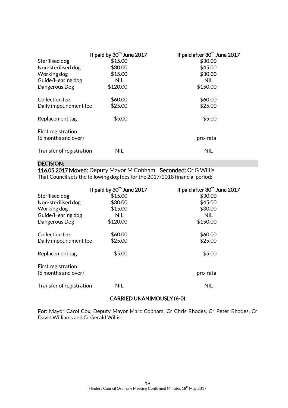|                                           | If paid by 30 <sup>th</sup> June 2017 | If paid after 30 <sup>th</sup> June 2017 |
|-------------------------------------------|---------------------------------------|------------------------------------------|
| Sterilised dog                            | \$15.00                               | \$30.00                                  |
| Non-sterilised dog                        | \$30.00                               | \$45.00                                  |
| Working dog                               | \$15.00                               | \$30.00                                  |
| Guide/Hearing dog                         | <b>NIL</b>                            | <b>NIL</b>                               |
| Dangerous Dog                             | \$120.00                              | \$150.00                                 |
| Collection fee                            | \$60.00                               | \$60.00                                  |
| Daily impoundment fee                     | \$25.00                               | \$25.00                                  |
| Replacement tag                           | \$5.00                                | \$5.00                                   |
| First registration<br>(6 months and over) |                                       | pro-rata                                 |
| Transfer of registration                  | <b>NIL</b>                            | <b>NIL</b>                               |

## DECISION:

116.05.2017 Moved: Deputy Mayor M Cobham Seconded: Cr G Willis That Council sets the following dog fees for the 2017/2018 financial period:

|                          | If paid by 30 <sup>th</sup> June 2017 | If paid after 30 <sup>th</sup> June 2017 |
|--------------------------|---------------------------------------|------------------------------------------|
| Sterilised dog           | \$15.00                               | \$30.00                                  |
| Non-sterilised dog       | \$30.00                               | \$45.00                                  |
| Working dog              | \$15.00                               | \$30.00                                  |
| Guide/Hearing dog        | <b>NIL</b>                            | <b>NIL</b>                               |
| Dangerous Dog            | \$120.00                              | \$150.00                                 |
| Collection fee           | \$60.00                               | \$60.00                                  |
| Daily impoundment fee    | \$25.00                               | \$25.00                                  |
| Replacement tag          | \$5.00                                | \$5.00                                   |
| First registration       |                                       |                                          |
| (6 months and over)      |                                       | pro-rata                                 |
| Transfer of registration | <b>NIL</b>                            | <b>NIL</b>                               |

#### CARRIED UNANIMOUSLY (6-0)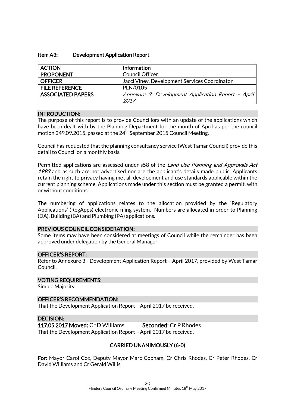#### Item A3: Development Application Report

| <b>ACTION</b>                     | <b>Information</b>                                         |  |  |
|-----------------------------------|------------------------------------------------------------|--|--|
| <b>PROPONENT</b>                  | <b>Council Officer</b>                                     |  |  |
| <b>OFFICER</b>                    | Jacci Viney, Development Services Coordinator              |  |  |
| <b>FILE REFERENCE</b><br>PLN/0105 |                                                            |  |  |
| <b>ASSOCIATED PAPERS</b>          | Annexure 3: Development Application Report - April<br>2017 |  |  |

#### INTRODUCTION:

The purpose of this report is to provide Councillors with an update of the applications which have been dealt with by the Planning Department for the month of April as per the council motion 249.09.2015, passed at the 24<sup>th</sup> September 2015 Council Meeting.

Council has requested that the planning consultancy service (West Tamar Council) provide this detail to Council on a monthly basis.

Permitted applications are assessed under s58 of the Land Use Planning and Approvals Act 1993 and as such are not advertised nor are the applicant's details made public. Applicants retain the right to privacy having met all development and use standards applicable within the current planning scheme. Applications made under this section must be granted a permit, with or without conditions.

The numbering of applications relates to the allocation provided by the 'Regulatory Applications' (RegApps) electronic filing system. Numbers are allocated in order to Planning (DA), Building (BA) and Plumbing (PA) applications.

#### PREVIOUS COUNCIL CONSIDERATION:

Some items may have been considered at meetings of Council while the remainder has been approved under delegation by the General Manager.

#### OFFICER'S REPORT:

Refer to Annexure 3 - Development Application Report – April 2017, provided by West Tamar Council.

#### VOTING REQUIREMENTS:

Simple Majority

#### OFFICER'S RECOMMENDATION:

That the Development Application Report – April 2017 be received.

#### DECISION:

117.05.2017 Moved: Cr D Williams Seconded: Cr P Rhodes That the Development Application Report – April 2017 be received.

## CARRIED UNANIMOUSLY (6-0)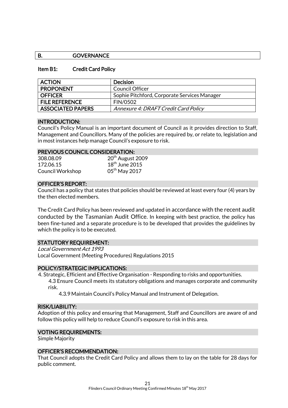## B. **GOVERNANCE**

#### Item B1: Credit Card Policy

| <b>ACTION</b>            | <b>Decision</b>                              |
|--------------------------|----------------------------------------------|
| <b>PROPONENT</b>         | Council Officer                              |
| <b>OFFICER</b>           | Sophie Pitchford, Corporate Services Manager |
| <b>FILE REFERENCE</b>    | <b>FIN/0502</b>                              |
| <b>ASSOCIATED PAPERS</b> | Annexure 4: DRAFT Credit Card Policy         |

#### INTRODUCTION:

Council's Policy Manual is an important document of Council as it provides direction to Staff, Management and Councillors. Many of the policies are required by, or relate to, legislation and in most instances help manage Council's exposure to risk.

#### PREVIOUS COUNCIL CONSIDERATION:

| 308.08.09        | 20 <sup>th</sup> August 2009 |
|------------------|------------------------------|
| 172.06.15        | $18th$ June 2015             |
| Council Workshop | 05 <sup>th</sup> May 2017    |

#### OFFICER'S REPORT:

Council has a policy that states that policies should be reviewed at least every four (4) years by the then elected members.

The Credit Card Policy has been reviewed and updated in accordance with the recent audit conducted by the Tasmanian Audit Office. In keeping with best practice, the policy has been fine-tuned and a separate procedure is to be developed that provides the guidelines by which the policy is to be executed.

#### STATUTORY REQUIREMENT:

Local Government Act 1993 Local Government (Meeting Procedures) Regulations 2015

#### POLICY/STRATEGIC IMPLICATIONS:

4. Strategic, Efficient and Effective Organisation - Responding to risks and opportunities. 4.3 Ensure Council meets its statutory obligations and manages corporate and community risk.

4.3.9 Maintain Council's Policy Manual and Instrument of Delegation.

#### RISK/LIABILITY:

Adoption of this policy and ensuring that Management, Staff and Councillors are aware of and follow this policy will help to reduce Council's exposure to risk in this area.

#### VOTING REQUIREMENTS:

Simple Majority

#### OFFICER'S RECOMMENDATION:

That Council adopts the Credit Card Policy and allows them to lay on the table for 28 days for public comment.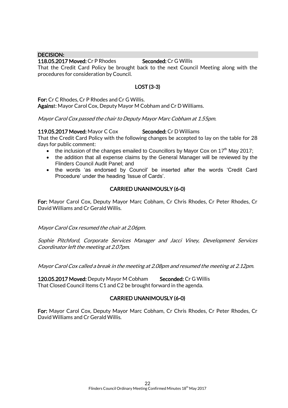#### DECISION:

118.05.2017 Moved: Cr P Rhodes Seconded: Cr G Willis That the Credit Card Policy be brought back to the next Council Meeting along with the procedures for consideration by Council.

## LOST (3-3)

For: Cr C Rhodes, Cr P Rhodes and Cr G Willis. Against: Mayor Carol Cox, Deputy Mayor M Cobham and Cr D Williams.

Mayor Carol Cox passed the chair to Deputy Mayor Marc Cobham at 1.55pm.

#### 119.05.2017 Moved: Mayor C Cox Seconded: Cr D Williams

That the Credit Card Policy with the following changes be accepted to lay on the table for 28 days for public comment:

- $\bullet$  the inclusion of the changes emailed to Councillors by Mayor Cox on 17<sup>th</sup> May 2017;
- the addition that all expense claims by the General Manager will be reviewed by the Flinders Council Audit Panel; and
- the words 'as endorsed by Council' be inserted after the words 'Credit Card Procedure' under the heading 'Issue of Cards'.

## CARRIED UNANIMOUSLY (6-0)

For: Mayor Carol Cox, Deputy Mayor Marc Cobham, Cr Chris Rhodes, Cr Peter Rhodes, Cr David Williams and Cr Gerald Willis.

Mayor Carol Cox resumed the chair at 2.06pm.

Sophie Pitchford, Corporate Services Manager and Jacci Viney, Development Services Coordinator left the meeting at 2.07pm.

Mayor Carol Cox called a break in the meeting at 2.08pm and resumed the meeting at 2.12pm.

120.05.2017 Moved: Deputy Mayor M Cobham Seconded: Cr G Willis That Closed Council Items C1 and C2 be brought forward in the agenda.

## CARRIED UNANIMOUSLY (6-0)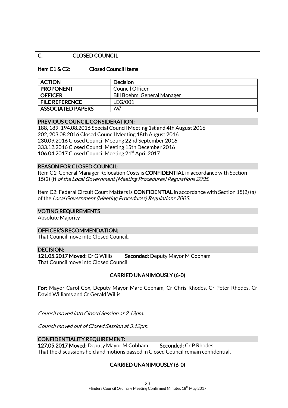## C. CLOSED COUNCIL

#### Item C1 & C2: Closed Council Items

| <b>ACTION</b>            | <b>Decision</b>             |
|--------------------------|-----------------------------|
| <b>PROPONENT</b>         | Council Officer             |
| <b>OFFICER</b>           | Bill Boehm, General Manager |
| <b>FILE REFERENCE</b>    | LFG/001                     |
| <b>ASSOCIATED PAPERS</b> | Nil                         |

#### PREVIOUS COUNCIL CONSIDERATION:

188, 189, 194.08.2016 Special Council Meeting 1st and 4th August 2016 202, 203.08.2016 Closed Council Meeting 18th August 2016 230.09.2016 Closed Council Meeting 22nd September 2016 333.12.2016 Closed Council Meeting 15th December 2016 106.04.2017 Closed Council Meeting 21st April 2017

#### REASON FOR CLOSED COUNCIL:

Item C1: General Manager Relocation Costs is CONFIDENTIAL in accordance with Section 15(2) (f) of the Local Government (Meeting Procedures) Regulations 2005.

Item C2: Federal Circuit Court Matters is CONFIDENTIAL in accordance with Section 15(2) (a) of the Local Government (Meeting Procedures) Regulations 2005.

#### VOTING REQUIREMENTS

Absolute Majority

#### OFFICER'S RECOMMENDATION:

That Council move into Closed Council.

#### DECISION:

121.05.2017 Moved: Cr G Willis Seconded: Deputy Mayor M Cobham That Council move into Closed Council.

#### CARRIED UNANIMOUSLY (6-0)

For: Mayor Carol Cox, Deputy Mayor Marc Cobham, Cr Chris Rhodes, Cr Peter Rhodes, Cr David Williams and Cr Gerald Willis.

Council moved into Closed Session at 2.13pm.

Council moved out of Closed Session at 3.12pm.

#### CONFIDENTIALITY REQUIREMENT:

127.05.2017 Moved: Deputy Mayor M Cobham Seconded: Cr P Rhodes That the discussions held and motions passed in Closed Council remain confidential.

## CARRIED UNANIMOUSLY (6-0)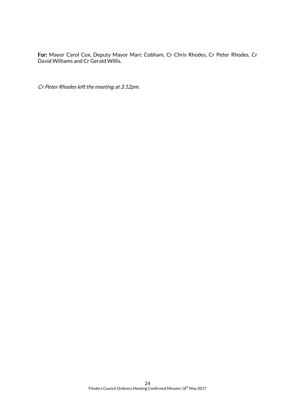For: Mayor Carol Cox, Deputy Mayor Marc Cobham, Cr Chris Rhodes, Cr Peter Rhodes, Cr David Williams and Cr Gerald Willis.

Cr Peter Rhodes left the meeting at 3.12pm.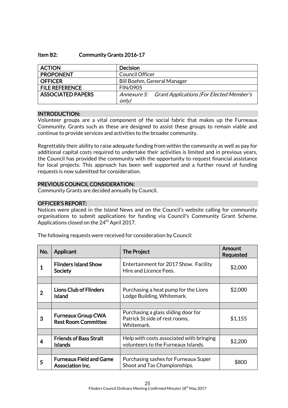#### Item B2: Community Grants 2016-17

| <b>ACTION</b>            | <b>Decision</b>                                               |  |  |
|--------------------------|---------------------------------------------------------------|--|--|
| <b>PROPONENT</b>         | <b>Council Officer</b>                                        |  |  |
| <b>OFFICER</b>           | <b>Bill Boehm, General Manager</b>                            |  |  |
| <b>FILE REFERENCE</b>    | FIN/0905                                                      |  |  |
| <b>ASSOCIATED PAPERS</b> | Annexure 5: Grant Applications (For Elected Member's<br>only) |  |  |

#### INTRODUCTION:

Volunteer groups are a vital component of the social fabric that makes up the Furneaux Community. Grants such as these are designed to assist these groups to remain viable and continue to provide services and activities to the broader community.

Regrettably their ability to raise adequate funding from within the community as well as pay for additional capital costs required to undertake their activities is limited and in previous years, the Council has provided the community with the opportunity to request financial assistance for local projects. This approach has been well supported and a further round of funding requests is now submitted for consideration.

#### PREVIOUS COUNCIL CONSIDERATION:

Community Grants are decided annually by Council.

#### OFFICER'S REPORT:

Notices were placed in the Island News and on the Council's website calling for community organisations to submit applications for funding via Council's Community Grant Scheme. Applications closed on the 24 $^{\rm th}$  April 2017.

| No. | Applicant                                                                                                                          | <b>The Project</b>                                                                  | Amount<br>Requested |
|-----|------------------------------------------------------------------------------------------------------------------------------------|-------------------------------------------------------------------------------------|---------------------|
|     | <b>Flinders Island Show</b><br>Entertainment for 2017 Show. Facility<br>Hire and Licence Fees.<br><b>Society</b>                   |                                                                                     | \$2,000             |
|     |                                                                                                                                    |                                                                                     |                     |
| 2   | <b>Lions Club of Flinders</b><br><b>Island</b>                                                                                     | Purchasing a heat pump for the Lions<br>Lodge Building, Whitemark.                  | \$2,000             |
|     |                                                                                                                                    |                                                                                     |                     |
| 3   | <b>Furneaux Group CWA</b><br><b>Rest Room Committee</b>                                                                            | Purchasing a glass sliding door for<br>Patrick St side of rest rooms,<br>Whitemark. | \$1,155             |
|     |                                                                                                                                    |                                                                                     |                     |
| 4   | <b>Friends of Bass Strait</b><br>Help with costs associated with bringing<br>volunteers to the Furneaux Islands.<br><b>Islands</b> |                                                                                     | \$2,200             |
|     |                                                                                                                                    |                                                                                     |                     |
| 5   | <b>Furneaux Field and Game</b><br>Association Inc.                                                                                 | Purchasing sashes for Furneaux Super<br>Shoot and Tas Championships.                | \$800               |

The following requests were received for consideration by Council: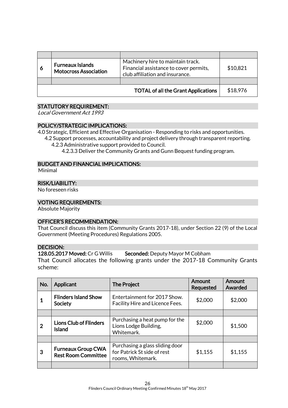| 6 | Machinery hire to maintain track.<br><b>Furneaux Islands</b><br>Financial assistance to cover permits,<br><b>Motocross Association</b><br>club affiliation and insurance. |                                            | \$10,821 |
|---|---------------------------------------------------------------------------------------------------------------------------------------------------------------------------|--------------------------------------------|----------|
|   |                                                                                                                                                                           |                                            |          |
|   |                                                                                                                                                                           | <b>TOTAL of all the Grant Applications</b> | \$18,976 |

## STATUTORY REQUIREMENT:

Local Government Act 1993

## POLICY/STRATEGIC IMPLICATIONS:

4.0 Strategic, Efficient and Effective Organisation - Responding to risks and opportunities.

- 4.2 Support processes, accountability and project delivery through transparent reporting. 4.2.3 Administrative support provided to Council.
	- 4.2.3.3 Deliver the Community Grants and Gunn Bequest funding program.

## BUDGET AND FINANCIAL IMPLICATIONS:

Minimal

## RISK/LIABILITY:

No foreseen risks

#### VOTING REQUIREMENTS:

Absolute Majority

#### OFFICER'S RECOMMENDATION:

That Council discuss this item (Community Grants 2017-18), under Section 22 (9) of the Local Government (Meeting Procedures) Regulations 2005.

## DECISION:

128.05.2017 Moved: Cr G Willis Seconded: Deputy Mayor M Cobham

That Council allocates the following grants under the 2017-18 Community Grants scheme:

| No.         | Applicant                                               | <b>The Project</b>                                                                  | Amount<br><b>Requested</b> | Amount<br>Awarded |
|-------------|---------------------------------------------------------|-------------------------------------------------------------------------------------|----------------------------|-------------------|
|             | <b>Flinders Island Show</b><br>Society                  | Entertainment for 2017 Show.<br>Facility Hire and Licence Fees.                     | \$2,000                    | \$2,000           |
|             |                                                         |                                                                                     |                            |                   |
| $\mathbf 2$ | <b>Lions Club of Flinders</b><br><b>Island</b>          | Purchasing a heat pump for the<br>Lions Lodge Building,<br>Whitemark.               | \$2,000                    | \$1,500           |
|             |                                                         |                                                                                     |                            |                   |
| 3           | <b>Furneaux Group CWA</b><br><b>Rest Room Committee</b> | Purchasing a glass sliding door<br>for Patrick St side of rest<br>rooms, Whitemark. | \$1,155                    | \$1,155           |
|             |                                                         |                                                                                     |                            |                   |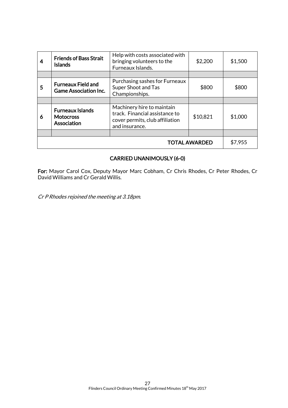| 4                    | <b>Friends of Bass Strait</b><br><b>Islands</b>            | Help with costs associated with<br>bringing volunteers to the<br>Furneaux Islands.                                | \$2,200  | \$1,500 |
|----------------------|------------------------------------------------------------|-------------------------------------------------------------------------------------------------------------------|----------|---------|
|                      |                                                            |                                                                                                                   |          |         |
| 5                    | <b>Furneaux Field and</b><br><b>Game Association Inc.</b>  | Purchasing sashes for Furneaux<br>Super Shoot and Tas<br>Championships.                                           | \$800    | \$800   |
|                      |                                                            |                                                                                                                   |          |         |
| 6                    | <b>Furneaux Islands</b><br><b>Motocross</b><br>Association | Machinery hire to maintain<br>track. Financial assistance to<br>cover permits, club affiliation<br>and insurance. | \$10,821 | \$1,000 |
|                      |                                                            |                                                                                                                   |          |         |
| <b>TOTAL AWARDED</b> |                                                            |                                                                                                                   | \$7,955  |         |

## CARRIED UNANIMOUSLY (6-0)

For: Mayor Carol Cox, Deputy Mayor Marc Cobham, Cr Chris Rhodes, Cr Peter Rhodes, Cr David Williams and Cr Gerald Willis.

Cr P Rhodes rejoined the meeting at 3.18pm.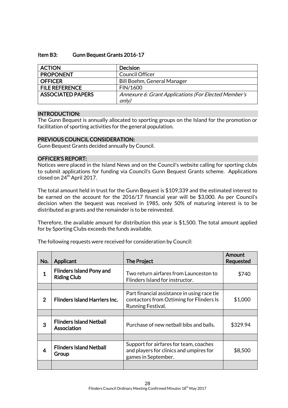## Item B3: Gunn Bequest Grants 2016-17

| <b>ACTION</b>            | <b>Decision</b>                                               |
|--------------------------|---------------------------------------------------------------|
| <b>PROPONENT</b>         | <b>Council Officer</b>                                        |
| <b>OFFICER</b>           | Bill Boehm, General Manager                                   |
| <b>FILE REFERENCE</b>    | FIN/1600                                                      |
| <b>ASSOCIATED PAPERS</b> | Annexure 6: Grant Applications (For Elected Member's<br>only) |

#### INTRODUCTION:

The Gunn Bequest is annually allocated to sporting groups on the Island for the promotion or facilitation of sporting activities for the general population.

## PREVIOUS COUNCIL CONSIDERATION:

Gunn Bequest Grants decided annually by Council.

#### OFFICER'S REPORT:

Notices were placed in the Island News and on the Council's website calling for sporting clubs to submit applications for funding via Council's Gunn Bequest Grants scheme. Applications closed on 24<sup>th</sup> April 2017.

The total amount held in trust for the Gunn Bequest is \$109,339 and the estimated interest to be earned on the account for the 2016/17 financial year will be \$3,000. As per Council's decision when the bequest was received in 1985, only 50% of maturing interest is to be distributed as grants and the remainder is to be reinvested.

Therefore, the available amount for distribution this year is \$1,500. The total amount applied for by Sporting Clubs exceeds the funds available.

The following requests were received for consideration by Council:

| No.            | Applicant                                                                                                                          | <b>The Project</b>                                                                                           | Amount<br><b>Requested</b> |
|----------------|------------------------------------------------------------------------------------------------------------------------------------|--------------------------------------------------------------------------------------------------------------|----------------------------|
| $\mathbf 1$    | <b>Flinders Island Pony and</b><br>Two return airfares from Launceston to<br><b>Riding Club</b><br>Flinders Island for instructor. |                                                                                                              | \$740                      |
|                |                                                                                                                                    |                                                                                                              |                            |
| $\overline{2}$ | <b>Flinders Island Harriers Inc.</b>                                                                                               | Part financial assistance in using race tie<br>contactors from Oztiming for Flinders Is<br>Running Festival. | \$1,000                    |
|                |                                                                                                                                    |                                                                                                              |                            |
| 3              | <b>Flinders Island Netball</b><br>Association                                                                                      | Purchase of new netball bibs and balls.                                                                      | \$329.94                   |
|                |                                                                                                                                    |                                                                                                              |                            |
| 4              | <b>Flinders Island Netball</b><br>Group                                                                                            | Support for airfares for team, coaches<br>and players for clinics and umpires for<br>games in September.     | \$8,500                    |
|                |                                                                                                                                    |                                                                                                              |                            |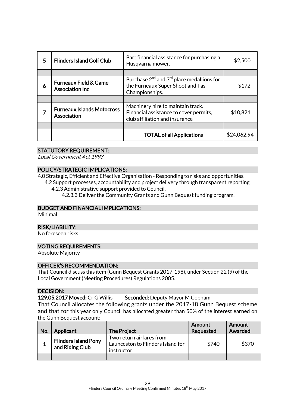| 5 | <b>Flinders Island Golf Club</b>                            | Part financial assistance for purchasing a<br>Husqvarna mower.                                                | \$2,500     |
|---|-------------------------------------------------------------|---------------------------------------------------------------------------------------------------------------|-------------|
|   |                                                             |                                                                                                               |             |
| 6 | <b>Furneaux Field &amp; Game</b><br><b>Association Inc.</b> | Purchase $2^{nd}$ and $3^{rd}$ place medallions for<br>the Furneaux Super Shoot and Tas<br>Championships.     | \$172       |
|   |                                                             |                                                                                                               |             |
|   | <b>Furneaux Islands Motocross</b><br>Association            | Machinery hire to maintain track.<br>Financial assistance to cover permits,<br>club affiliation and insurance | \$10,821    |
|   |                                                             |                                                                                                               |             |
|   |                                                             | <b>TOTAL of all Applications</b>                                                                              | \$24,062.94 |

## STATUTORY REQUIREMENT:

Local Government Act 1993

#### POLICY/STRATEGIC IMPLICATIONS:

4.0 Strategic, Efficient and Effective Organisation - Responding to risks and opportunities.

4.2 Support processes, accountability and project delivery through transparent reporting. 4.2.3 Administrative support provided to Council.

4.2.3.3 Deliver the Community Grants and Gunn Bequest funding program.

#### BUDGET AND FINANCIAL IMPLICATIONS:

Minimal

#### RISK/LIABILITY:

No foreseen risks

#### VOTING REQUIREMENTS:

Absolute Majority

#### OFFICER'S RECOMMENDATION:

That Council discuss this item (Gunn Bequest Grants 2017-198), under Section 22 (9) of the Local Government (Meeting Procedures) Regulations 2005.

#### DECISION:

129.05.2017 Moved: Cr G Willis Seconded: Deputy Mayor M Cobham That Council allocates the following grants under the 2017-18 Gunn Bequest scheme and that for this year only Council has allocated greater than 50% of the interest earned on the Gunn Bequest account:

| No. | Applicant                                      | <b>The Project</b>                                                           | Amount<br>Requested | Amount<br>Awarded |
|-----|------------------------------------------------|------------------------------------------------------------------------------|---------------------|-------------------|
|     | <b>Flinders Island Pony</b><br>and Riding Club | Two return airfares from<br>Launceston to Flinders Island for<br>instructor. | \$740               | \$370             |
|     |                                                |                                                                              |                     |                   |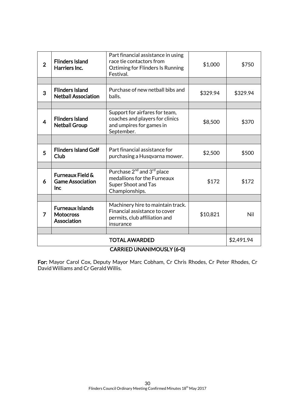| $\overline{2}$                   | <b>Flinders Island</b><br>Harriers Inc.                       | Part financial assistance in using<br>race tie contactors from<br>Oztiming for Flinders Is Running<br>Festival.            | \$1,000    | \$750    |
|----------------------------------|---------------------------------------------------------------|----------------------------------------------------------------------------------------------------------------------------|------------|----------|
|                                  |                                                               |                                                                                                                            |            |          |
| 3                                | <b>Flinders Island</b><br><b>Netball Association</b>          | Purchase of new netball bibs and<br>balls.                                                                                 | \$329.94   | \$329.94 |
|                                  |                                                               |                                                                                                                            |            |          |
| 4                                | <b>Flinders Island</b><br><b>Netball Group</b>                | Support for airfares for team,<br>coaches and players for clinics<br>and umpires for games in<br>September.                | \$8,500    | \$370    |
|                                  |                                                               |                                                                                                                            |            |          |
| 5                                | <b>Flinders Island Golf</b><br>Club                           | Part financial assistance for<br>purchasing a Husqvarna mower.                                                             | \$2,500    | \$500    |
|                                  |                                                               |                                                                                                                            |            |          |
| 6                                | <b>Furneaux Field &amp;</b><br><b>Game Association</b><br>Inc | Purchase 2 <sup>nd</sup> and 3 <sup>rd</sup> place<br>medallions for the Furneaux<br>Super Shoot and Tas<br>Championships. | \$172      | \$172    |
|                                  |                                                               |                                                                                                                            |            |          |
| 7                                | <b>Furneaux Islands</b><br><b>Motocross</b><br>Association    | Machinery hire to maintain track.<br>Financial assistance to cover<br>permits, club affiliation and<br>insurance           | \$10,821   | Nil      |
|                                  |                                                               |                                                                                                                            |            |          |
| <b>TOTAL AWARDED</b>             |                                                               |                                                                                                                            | \$2,491.94 |          |
| <b>CARRIED UNANIMOUSLY (6-0)</b> |                                                               |                                                                                                                            |            |          |